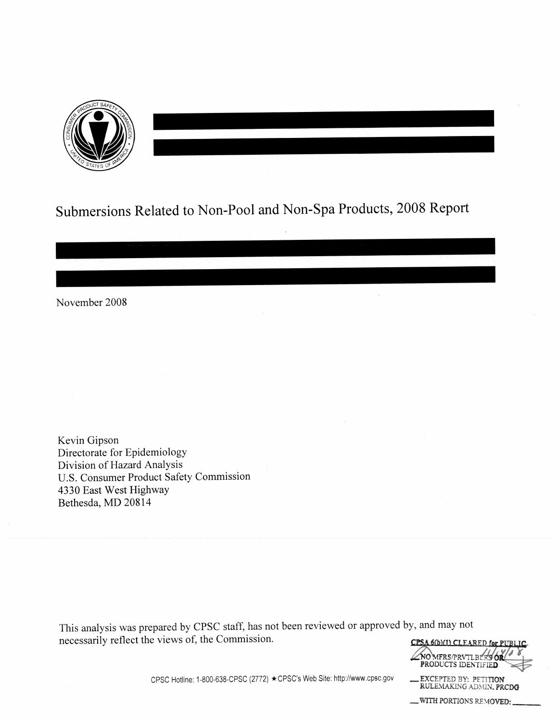

# Submersions Related to Non-Pool and Non-Spa Products, 2008 Report

November 2008

Kevin Gipson Directorate for Epidemiology Division of Hazard Analysis U.S. Consumer Product Safety Commission 4330 East West Highway Bethesda, MD 20814

This analysis was prepared by CPSC staff, has not been reviewed or approved by, and may not necessarily reflect the views of, the Commission.



CPSC Hotline: 1-800-638-CPSC (2772) ★ CPSC's Web Site: http://www.cpsc.gov

**EXCEPTED BY: PETITION<br>RULEMAKING ADMIN. PRCDG** -WITH PORTIONS REMOVED: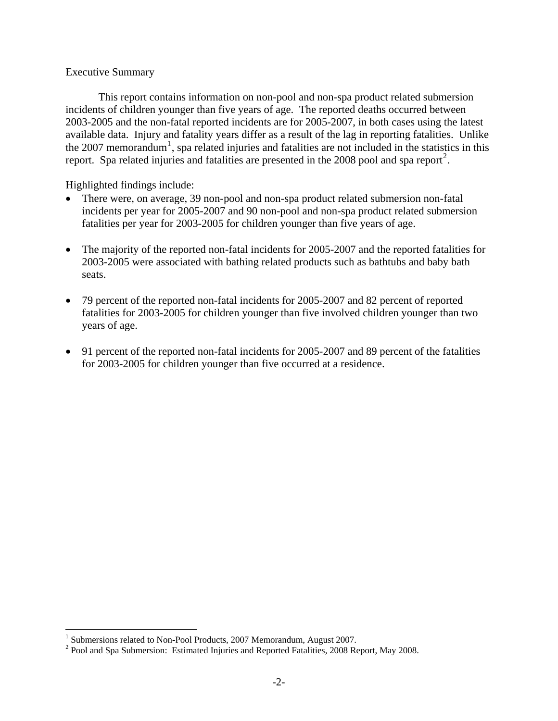### Executive Summary

This report contains information on non-pool and non-spa product related submersion incidents of children younger than five years of age. The reported deaths occurred between 2003-2005 and the non-fatal reported incidents are for 2005-2007, in both cases using the latest available data. Injury and fatality years differ as a result of the lag in reporting fatalities. Unlike the 2007 memorandum<sup>[1](#page-1-0)</sup>, spa related injuries and fatalities are not included in the statistics in this report. Spa related injuries and fatalities are presented in the [2](#page-1-1)008 pool and spa report<sup>2</sup>.

Highlighted findings include:

- There were, on average, 39 non-pool and non-spa product related submersion non-fatal incidents per year for 2005-2007 and 90 non-pool and non-spa product related submersion fatalities per year for 2003-2005 for children younger than five years of age.
- The majority of the reported non-fatal incidents for 2005-2007 and the reported fatalities for 2003-2005 were associated with bathing related products such as bathtubs and baby bath seats.
- 79 percent of the reported non-fatal incidents for 2005-2007 and 82 percent of reported fatalities for 2003-2005 for children younger than five involved children younger than two years of age.
- 91 percent of the reported non-fatal incidents for 2005-2007 and 89 percent of the fatalities for 2003-2005 for children younger than five occurred at a residence.

 1 Submersions related to Non-Pool Products, 2007 Memorandum, August 2007.

<span id="page-1-1"></span><span id="page-1-0"></span> $2^{2}$  Pool and Spa Submersion: Estimated Injuries and Reported Fatalities, 2008 Report, May 2008.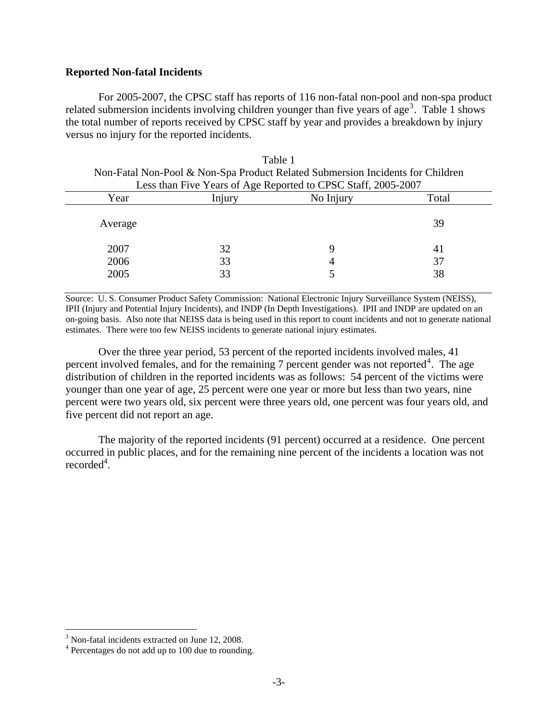#### **Reported Non-fatal Incidents**

For 2005-2007, the CPSC staff has reports of 116 non-fatal non-pool and non-spa product related submersion incidents involving children younger than five years of age<sup>[3](#page-2-0)</sup>. Table 1 shows the total number of reports received by CPSC staff by year and provides a breakdown by injury versus no injury for the reported incidents.

| Non-Fatal Non-Pool & Non-Spa Product Related Submersion Incidents for Children<br>Less than Five Years of Age Reported to CPSC Staff, 2005-2007 |        |           |       |  |
|-------------------------------------------------------------------------------------------------------------------------------------------------|--------|-----------|-------|--|
| Year                                                                                                                                            | Injury | No Injury | Total |  |
| Average                                                                                                                                         |        |           | 39    |  |
| 2007                                                                                                                                            | 32     | g         | 41    |  |
| 2006                                                                                                                                            | 33     | 4         | 37    |  |
| 2005                                                                                                                                            | 33     |           | 38    |  |

Table 1

Source: U. S. Consumer Product Safety Commission: National Electronic Injury Surveillance System (NEISS), IPII (Injury and Potential Injury Incidents), and INDP (In Depth Investigations). IPII and INDP are updated on an on-going basis. Also note that NEISS data is being used in this report to count incidents and not to generate national estimates. There were too few NEISS incidents to generate national injury estimates.

Over the three year period, 53 percent of the reported incidents involved males, 41 percent involved females, and for the remaining 7 percent gender was not reported<sup>[4](#page-2-1)</sup>. The age distribution of children in the reported incidents was as follows: 54 percent of the victims were younger than one year of age, 25 percent were one year or more but less than two years, nine percent were two years old, six percent were three years old, one percent was four years old, and five percent did not report an age.

The majority of the reported incidents (91 percent) occurred at a residence. One percent occurred in public places, and for the remaining nine percent of the incidents a location was not recorded<sup>4</sup>.

<span id="page-2-0"></span><sup>&</sup>lt;sup>3</sup> Non-fatal incidents extracted on June 12, 2008.

<span id="page-2-1"></span><sup>&</sup>lt;sup>4</sup> Percentages do not add up to 100 due to rounding.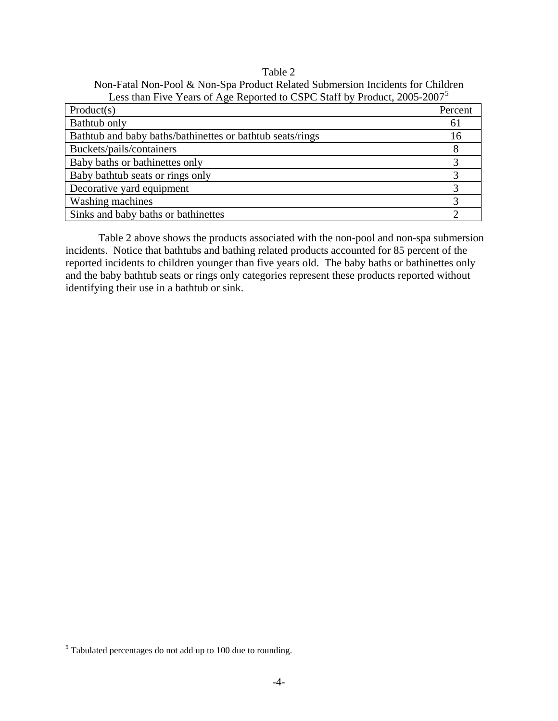### Table 2 Non-Fatal Non-Pool & Non-Spa Product Related Submersion Incidents for Children Less than Five Years of Age Reported to CSPC Staff by Product, 2005-2007<sup>5</sup>

| Product(s)                                                | Percent |
|-----------------------------------------------------------|---------|
| Bathtub only                                              | 61      |
| Bathtub and baby baths/bathinettes or bathtub seats/rings | 16      |
| Buckets/pails/containers                                  |         |
| Baby baths or bathinettes only                            |         |
| Baby bathtub seats or rings only                          |         |
| Decorative yard equipment                                 |         |
| Washing machines                                          |         |
| Sinks and baby baths or bathinettes                       |         |

Table 2 above shows the products associated with the non-pool and non-spa submersion incidents. Notice that bathtubs and bathing related products accounted for 85 percent of the reported incidents to children younger than five years old. The baby baths or bathinettes only and the baby bathtub seats or rings only categories represent these products reported without identifying their use in a bathtub or sink.

<span id="page-3-0"></span> $<sup>5</sup>$  Tabulated percentages do not add up to 100 due to rounding.</sup>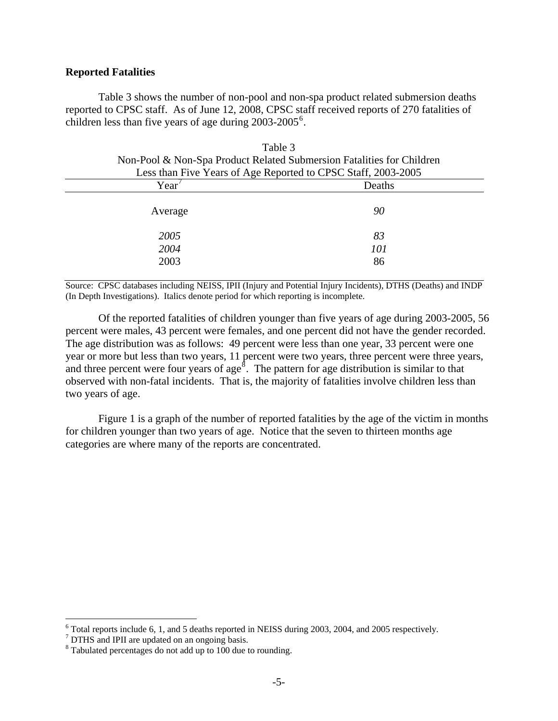#### **Reported Fatalities**

 Table 3 shows the number of non-pool and non-spa product related submersion deaths reported to CPSC staff. As of June 12, 2008, CPSC staff received reports of 270 fatalities of children less than five years of age during  $2003-2005^6$  $2003-2005^6$ .

 $T<sub>11</sub>$ 

| t able 5                                                              |        |  |  |
|-----------------------------------------------------------------------|--------|--|--|
| Non-Pool & Non-Spa Product Related Submersion Fatalities for Children |        |  |  |
| Less than Five Years of Age Reported to CPSC Staff, 2003-2005         |        |  |  |
| Year                                                                  | Deaths |  |  |
|                                                                       |        |  |  |
| Average                                                               | 90     |  |  |
|                                                                       |        |  |  |
| 2005                                                                  | 83     |  |  |
| 2004                                                                  | 101    |  |  |
| 2003                                                                  | 86     |  |  |
|                                                                       |        |  |  |

Source: CPSC databases including NEISS, IPII (Injury and Potential Injury Incidents), DTHS (Deaths) and INDP (In Depth Investigations). Italics denote period for which reporting is incomplete.

Of the reported fatalities of children younger than five years of age during 2003-2005, 56 percent were males, 43 percent were females, and one percent did not have the gender recorded. The age distribution was as follows: 49 percent were less than one year, 33 percent were one year or more but less than two years, 11 percent were two years, three percent were three years, and three percent were four years of age<sup>§</sup>. The pattern for age distribution is similar to that observed with non-fatal incidents. That is, the majority of fatalities involve children less than two years of age.

Figure 1 is a graph of the number of reported fatalities by the age of the victim in months for children younger than two years of age. Notice that the seven to thirteen months age categories are where many of the reports are concentrated.

<span id="page-4-0"></span><sup>&</sup>lt;sup>6</sup> Total reports include 6, 1, and 5 deaths reported in NEISS during 2003, 2004, and 2005 respectively.

<span id="page-4-1"></span><sup>&</sup>lt;sup>7</sup> DTHS and IPII are updated on an ongoing basis.

<span id="page-4-2"></span><sup>&</sup>lt;sup>8</sup> Tabulated percentages do not add up to 100 due to rounding.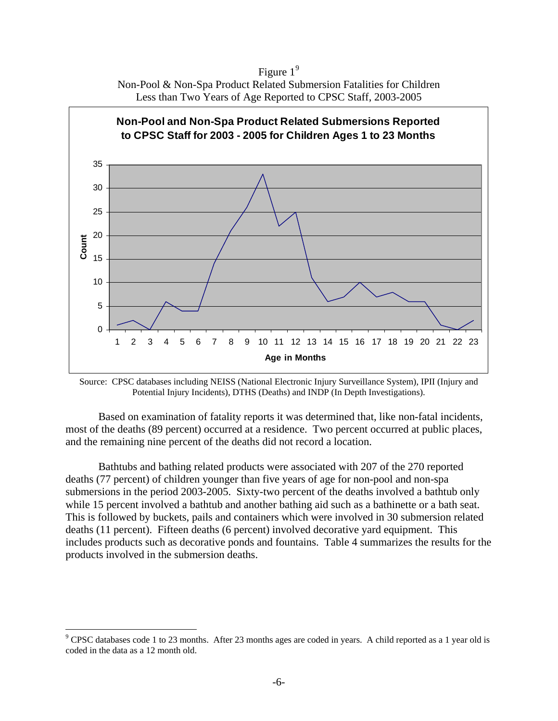Figure  $1<sup>9</sup>$  $1<sup>9</sup>$  $1<sup>9</sup>$ Non-Pool & Non-Spa Product Related Submersion Fatalities for Children Less than Two Years of Age Reported to CPSC Staff, 2003-2005



Source: CPSC databases including NEISS (National Electronic Injury Surveillance System), IPII (Injury and Potential Injury Incidents), DTHS (Deaths) and INDP (In Depth Investigations).

Based on examination of fatality reports it was determined that, like non-fatal incidents, most of the deaths (89 percent) occurred at a residence. Two percent occurred at public places, and the remaining nine percent of the deaths did not record a location.

Bathtubs and bathing related products were associated with 207 of the 270 reported deaths (77 percent) of children younger than five years of age for non-pool and non-spa submersions in the period 2003-2005. Sixty-two percent of the deaths involved a bathtub only while 15 percent involved a bathtub and another bathing aid such as a bathinette or a bath seat. This is followed by buckets, pails and containers which were involved in 30 submersion related deaths (11 percent). Fifteen deaths (6 percent) involved decorative yard equipment. This includes products such as decorative ponds and fountains. Table 4 summarizes the results for the products involved in the submersion deaths.

<span id="page-5-0"></span> $9^9$  CPSC databases code 1 to 23 months. After 23 months ages are coded in years. A child reported as a 1 year old is coded in the data as a 12 month old.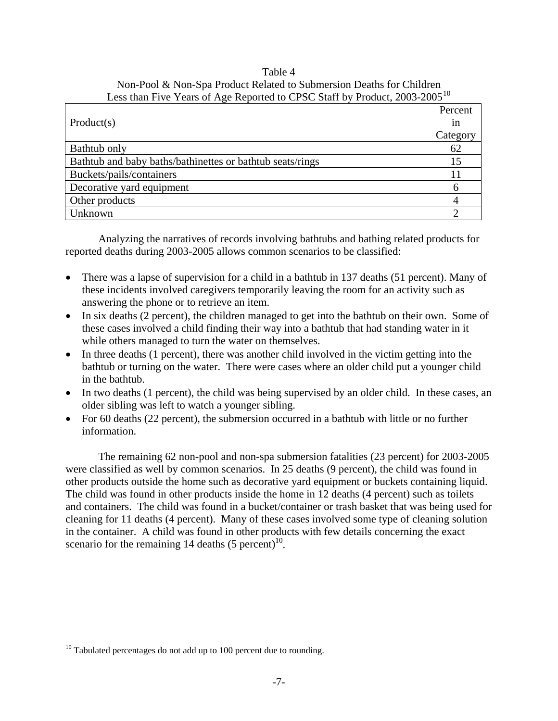# Table 4 Non-Pool & Non-Spa Product Related to Submersion Deaths for Children Less than Five Years of Age Reported to CPSC Staff by Product, 2003-2005<sup>[10](#page-6-0)</sup>

|                                                           | Percent  |
|-----------------------------------------------------------|----------|
| Product(s)                                                | in       |
|                                                           | Category |
| Bathtub only                                              | 62       |
| Bathtub and baby baths/bathinettes or bathtub seats/rings | 15       |
| Buckets/pails/containers                                  |          |
| Decorative yard equipment                                 |          |
| Other products                                            |          |
| Unknown                                                   |          |

Analyzing the narratives of records involving bathtubs and bathing related products for reported deaths during 2003-2005 allows common scenarios to be classified:

- There was a lapse of supervision for a child in a bathtub in 137 deaths (51 percent). Many of these incidents involved caregivers temporarily leaving the room for an activity such as answering the phone or to retrieve an item.
- In six deaths (2 percent), the children managed to get into the bathtub on their own. Some of these cases involved a child finding their way into a bathtub that had standing water in it while others managed to turn the water on themselves.
- In three deaths (1 percent), there was another child involved in the victim getting into the bathtub or turning on the water. There were cases where an older child put a younger child in the bathtub.
- In two deaths (1 percent), the child was being supervised by an older child. In these cases, an older sibling was left to watch a younger sibling.
- For 60 deaths (22 percent), the submersion occurred in a bathtub with little or no further information.

The remaining 62 non-pool and non-spa submersion fatalities (23 percent) for 2003-2005 were classified as well by common scenarios. In 25 deaths (9 percent), the child was found in other products outside the home such as decorative yard equipment or buckets containing liquid. The child was found in other products inside the home in 12 deaths (4 percent) such as toilets and containers. The child was found in a bucket/container or trash basket that was being used for cleaning for 11 deaths (4 percent). Many of these cases involved some type of cleaning solution in the container. A child was found in other products with few details concerning the exact scenario for the remaining 14 deaths  $(5 \text{ percent})^{10}$ .

<span id="page-6-0"></span> $10$  Tabulated percentages do not add up to 100 percent due to rounding.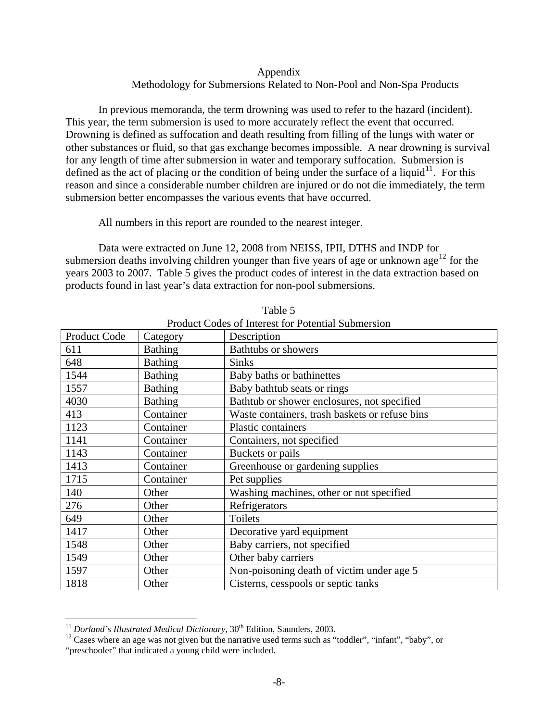# Appendix Methodology for Submersions Related to Non-Pool and Non-Spa Products

In previous memoranda, the term drowning was used to refer to the hazard (incident). This year, the term submersion is used to more accurately reflect the event that occurred. Drowning is defined as suffocation and death resulting from filling of the lungs with water or other substances or fluid, so that gas exchange becomes impossible. A near drowning is survival for any length of time after submersion in water and temporary suffocation. Submersion is defined as the act of placing or the condition of being under the surface of a liquid<sup>[11](#page-7-0)</sup>. For this reason and since a considerable number children are injured or do not die immediately, the term submersion better encompasses the various events that have occurred.

All numbers in this report are rounded to the nearest integer.

 Data were extracted on June 12, 2008 from NEISS, IPII, DTHS and INDP for submersion deaths involving children younger than five years of age or unknown age<sup>[12](#page-7-1)</sup> for the years 2003 to 2007. Table 5 gives the product codes of interest in the data extraction based on products found in last year's data extraction for non-pool submersions.

| Product Codes of interest for Potential Submersion |                |                                                |  |
|----------------------------------------------------|----------------|------------------------------------------------|--|
| Product Code                                       | Category       | Description                                    |  |
| 611                                                | <b>Bathing</b> | <b>Bathtubs or showers</b>                     |  |
| 648                                                | <b>Bathing</b> | <b>Sinks</b>                                   |  |
| 1544                                               | <b>Bathing</b> | Baby baths or bathinettes                      |  |
| 1557                                               | <b>Bathing</b> | Baby bathtub seats or rings                    |  |
| 4030                                               | <b>Bathing</b> | Bathtub or shower enclosures, not specified    |  |
| 413                                                | Container      | Waste containers, trash baskets or refuse bins |  |
| 1123                                               | Container      | Plastic containers                             |  |
| 1141                                               | Container      | Containers, not specified                      |  |
| 1143                                               | Container      | Buckets or pails                               |  |
| 1413                                               | Container      | Greenhouse or gardening supplies               |  |
| 1715                                               | Container      | Pet supplies                                   |  |
| 140                                                | Other          | Washing machines, other or not specified       |  |
| 276                                                | Other          | Refrigerators                                  |  |
| 649                                                | Other          | Toilets                                        |  |
| 1417                                               | Other          | Decorative yard equipment                      |  |
| 1548                                               | Other          | Baby carriers, not specified                   |  |
| 1549                                               | Other          | Other baby carriers                            |  |
| 1597                                               | Other          | Non-poisoning death of victim under age 5      |  |
| 1818                                               | Other          | Cisterns, cesspools or septic tanks            |  |

Table 5 Product Codes of Interest for Potential Submersion

 $\overline{a}$ 

<span id="page-7-0"></span><sup>&</sup>lt;sup>11</sup> *Dorland's Illustrated Medical Dictionary*,  $30<sup>th</sup>$  Edition, Saunders, 2003.<br><sup>12</sup> Cases where an age was not given but the narrative used terms such as "toddler", "infant", "baby", or

<span id="page-7-1"></span><sup>&</sup>quot;preschooler" that indicated a young child were included.